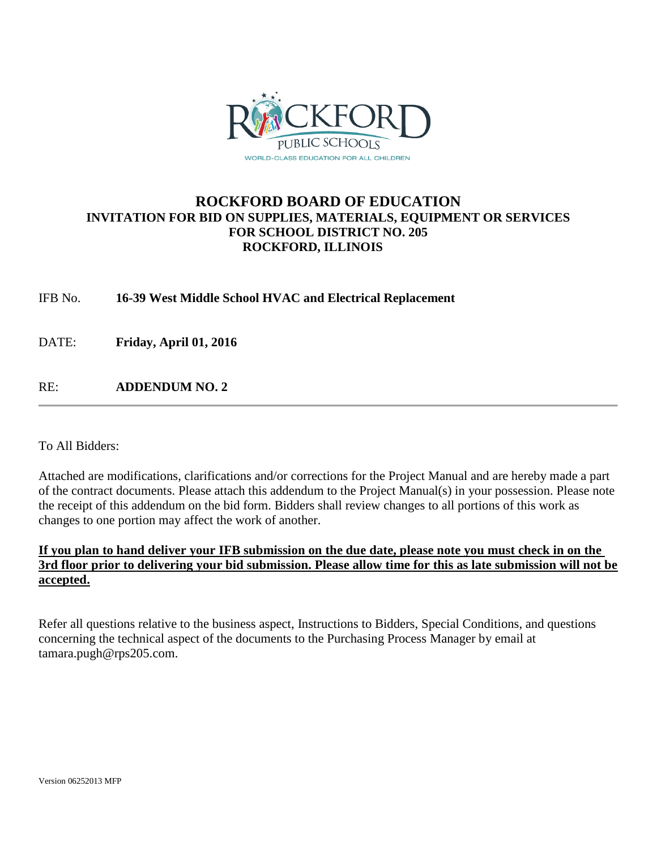

# **ROCKFORD BOARD OF EDUCATION INVITATION FOR BID ON SUPPLIES, MATERIALS, EQUIPMENT OR SERVICES FOR SCHOOL DISTRICT NO. 205 ROCKFORD, ILLINOIS**

IFB No. **16-39 West Middle School HVAC and Electrical Replacement**

DATE: **Friday, April 01, 2016**

RE: **ADDENDUM NO. 2**

To All Bidders:

Attached are modifications, clarifications and/or corrections for the Project Manual and are hereby made a part of the contract documents. Please attach this addendum to the Project Manual(s) in your possession. Please note the receipt of this addendum on the bid form. Bidders shall review changes to all portions of this work as changes to one portion may affect the work of another.

# **If you plan to hand deliver your IFB submission on the due date, please note you must check in on the 3rd floor prior to delivering your bid submission. Please allow time for this as late submission will not be accepted.**

Refer all questions relative to the business aspect, Instructions to Bidders, Special Conditions, and questions concerning the technical aspect of the documents to the Purchasing Process Manager by email at tamara.pugh@rps205.com.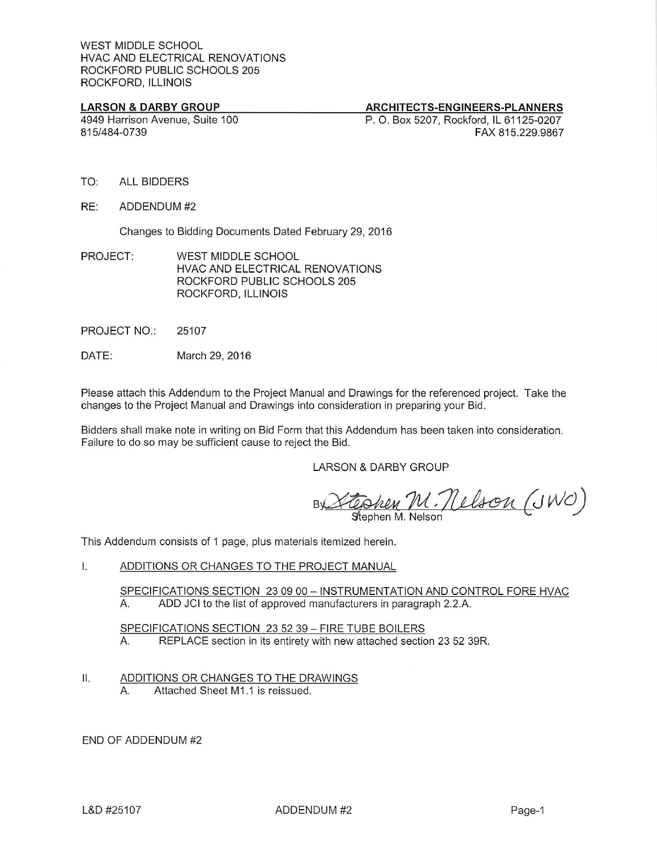## **LARSON & DARBY GROUP**

# ARCHITECTS-ENGINEERS-PLANNERS

4949 Harrison Avenue, Suite 100 815/484-0739

P. O. Box 5207, Rockford, IL 61125-0207 FAX 815,229,9867

- TO: **ALL BIDDERS**
- RE: ADDENDUM #2

Changes to Bidding Documents Dated February 29, 2016

- PROJECT: WEST MIDDLE SCHOOL HVAC AND ELECTRICAL RENOVATIONS ROCKFORD PUBLIC SCHOOLS 205 ROCKFORD, ILLINOIS
- PROJECT NO.: 25107
- DATE: March 29, 2016

Please attach this Addendum to the Project Manual and Drawings for the referenced project. Take the changes to the Project Manual and Drawings into consideration in preparing your Bid.

Bidders shall make note in writing on Bid Form that this Addendum has been taken into consideration. Failure to do so may be sufficient cause to reject the Bid.

**LARSON & DARBY GROUP** 

U. Nelson (JWO) Stephen M. Nelson

This Addendum consists of 1 page, plus materials itemized herein.

#### I. ADDITIONS OR CHANGES TO THE PROJECT MANUAL

SPECIFICATIONS SECTION 23 09 00 - INSTRUMENTATION AND CONTROL FORE HVAC А. ADD JCI to the list of approved manufacturers in paragraph 2.2.A.

SPECIFICATIONS SECTION 23 52 39 - FIRE TUBE BOILERS REPLACE section in its entirety with new attached section 23 52 39R.  $A_{1}$ 

#### II. ADDITIONS OR CHANGES TO THE DRAWINGS

Attached Sheet M1.1 is reissued. Α.

END OF ADDENDUM #2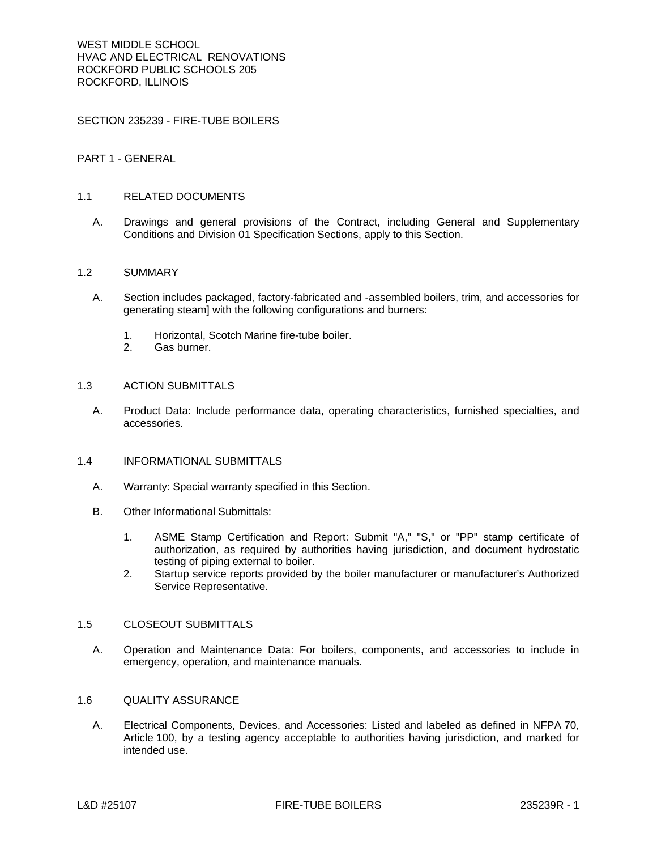SECTION 235239 - FIRE-TUBE BOILERS

# PART 1 - GENERAL

#### 1.1 RELATED DOCUMENTS

A. Drawings and general provisions of the Contract, including General and Supplementary Conditions and Division 01 Specification Sections, apply to this Section.

#### 1.2 SUMMARY

- A. Section includes packaged, factory-fabricated and -assembled boilers, trim, and accessories for generating steam] with the following configurations and burners:
	- 1. Horizontal, Scotch Marine fire-tube boiler.
	- 2. Gas burner.

#### 1.3 ACTION SUBMITTALS

A. Product Data: Include performance data, operating characteristics, furnished specialties, and accessories.

# 1.4 INFORMATIONAL SUBMITTALS

- A. Warranty: Special warranty specified in this Section.
- B. Other Informational Submittals:
	- 1. ASME Stamp Certification and Report: Submit "A," "S," or "PP" stamp certificate of authorization, as required by authorities having jurisdiction, and document hydrostatic testing of piping external to boiler.
	- 2. Startup service reports provided by the boiler manufacturer or manufacturer's Authorized Service Representative.

#### 1.5 CLOSEOUT SUBMITTALS

A. Operation and Maintenance Data: For boilers, components, and accessories to include in emergency, operation, and maintenance manuals.

#### 1.6 QUALITY ASSURANCE

A. Electrical Components, Devices, and Accessories: Listed and labeled as defined in NFPA 70, Article 100, by a testing agency acceptable to authorities having jurisdiction, and marked for intended use.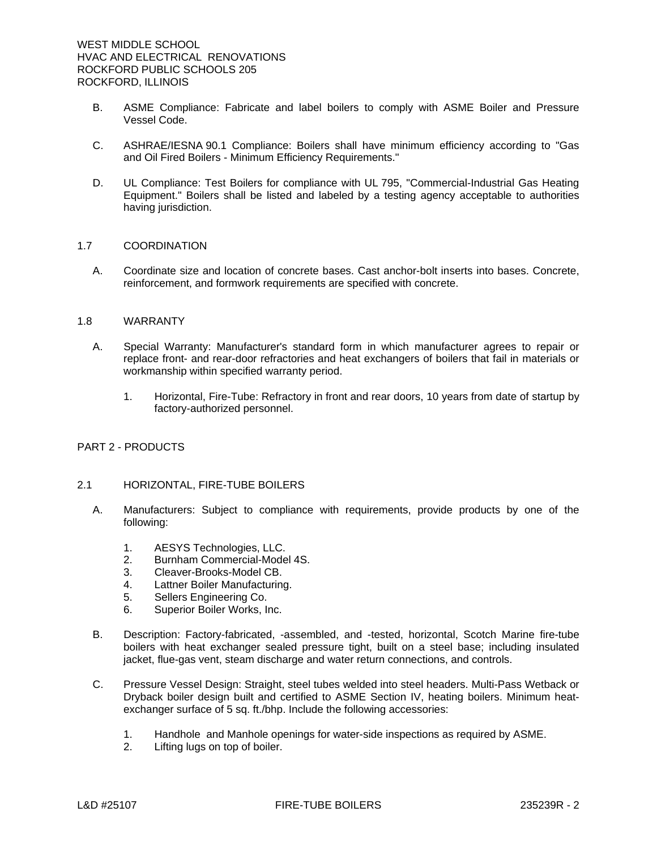- B. ASME Compliance: Fabricate and label boilers to comply with ASME Boiler and Pressure Vessel Code.
- C. ASHRAE/IESNA 90.1 Compliance: Boilers shall have minimum efficiency according to "Gas and Oil Fired Boilers - Minimum Efficiency Requirements."
- D. UL Compliance: Test Boilers for compliance with UL 795, "Commercial-Industrial Gas Heating Equipment." Boilers shall be listed and labeled by a testing agency acceptable to authorities having jurisdiction.

#### 1.7 COORDINATION

A. Coordinate size and location of concrete bases. Cast anchor-bolt inserts into bases. Concrete, reinforcement, and formwork requirements are specified with concrete.

### 1.8 WARRANTY

- A. Special Warranty: Manufacturer's standard form in which manufacturer agrees to repair or replace front- and rear-door refractories and heat exchangers of boilers that fail in materials or workmanship within specified warranty period.
	- 1. Horizontal, Fire-Tube: Refractory in front and rear doors, 10 years from date of startup by factory-authorized personnel.

# PART 2 - PRODUCTS

# 2.1 HORIZONTAL, FIRE-TUBE BOILERS

- A. Manufacturers: Subject to compliance with requirements, provide products by one of the following:
	- 1. AESYS Technologies, LLC.
	- 2. Burnham Commercial-Model 4S.
	- 3. Cleaver-Brooks-Model CB.
	- 4. Lattner Boiler Manufacturing.
	- 5. Sellers Engineering Co.
	- 6. Superior Boiler Works, Inc.
- B. Description: Factory-fabricated, -assembled, and -tested, horizontal, Scotch Marine fire-tube boilers with heat exchanger sealed pressure tight, built on a steel base; including insulated jacket, flue-gas vent, steam discharge and water return connections, and controls.
- C. Pressure Vessel Design: Straight, steel tubes welded into steel headers. Multi-Pass Wetback or Dryback boiler design built and certified to ASME Section IV, heating boilers. Minimum heatexchanger surface of 5 sq. ft./bhp. Include the following accessories:
	- 1. Handhole and Manhole openings for water-side inspections as required by ASME.
	- 2. Lifting lugs on top of boiler.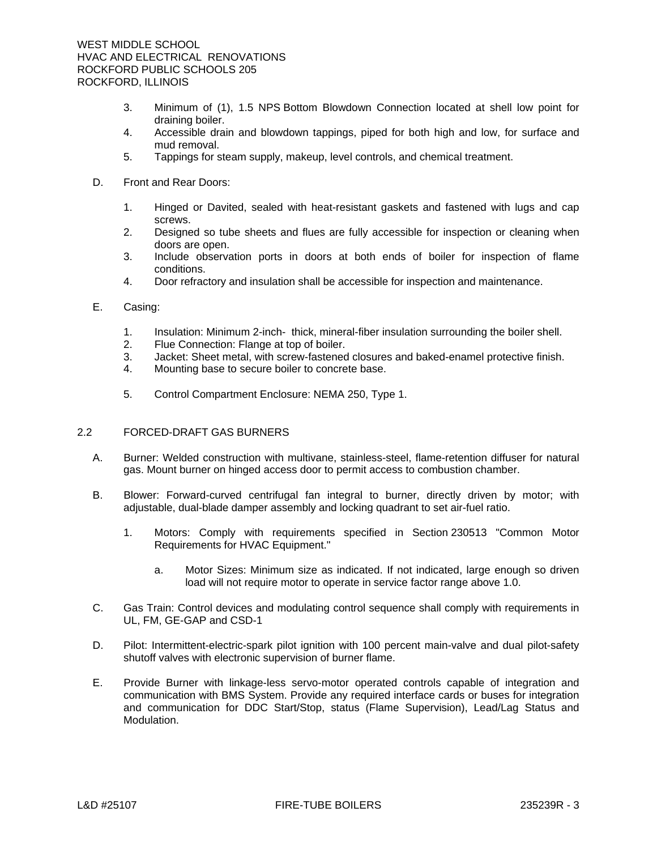- 3. Minimum of (1), 1.5 NPS Bottom Blowdown Connection located at shell low point for draining boiler.
- 4. Accessible drain and blowdown tappings, piped for both high and low, for surface and mud removal.
- 5. Tappings for steam supply, makeup, level controls, and chemical treatment.
- D. Front and Rear Doors:
	- 1. Hinged or Davited, sealed with heat-resistant gaskets and fastened with lugs and cap screws.
	- 2. Designed so tube sheets and flues are fully accessible for inspection or cleaning when doors are open.
	- 3. Include observation ports in doors at both ends of boiler for inspection of flame conditions.
	- 4. Door refractory and insulation shall be accessible for inspection and maintenance.
- E. Casing:
	- 1. Insulation: Minimum 2-inch- thick, mineral-fiber insulation surrounding the boiler shell.
	- 2. Flue Connection: Flange at top of boiler.
	- 3. Jacket: Sheet metal, with screw-fastened closures and baked-enamel protective finish.
	- 4. Mounting base to secure boiler to concrete base.
	- 5. Control Compartment Enclosure: NEMA 250, Type 1.

# 2.2 FORCED-DRAFT GAS BURNERS

- A. Burner: Welded construction with multivane, stainless-steel, flame-retention diffuser for natural gas. Mount burner on hinged access door to permit access to combustion chamber.
- B. Blower: Forward-curved centrifugal fan integral to burner, directly driven by motor; with adjustable, dual-blade damper assembly and locking quadrant to set air-fuel ratio.
	- 1. Motors: Comply with requirements specified in Section 230513 "Common Motor Requirements for HVAC Equipment."
		- a. Motor Sizes: Minimum size as indicated. If not indicated, large enough so driven load will not require motor to operate in service factor range above 1.0.
- C. Gas Train: Control devices and modulating control sequence shall comply with requirements in UL, FM, GE-GAP and CSD-1
- D. Pilot: Intermittent-electric-spark pilot ignition with 100 percent main-valve and dual pilot-safety shutoff valves with electronic supervision of burner flame.
- E. Provide Burner with linkage-less servo-motor operated controls capable of integration and communication with BMS System. Provide any required interface cards or buses for integration and communication for DDC Start/Stop, status (Flame Supervision), Lead/Lag Status and Modulation.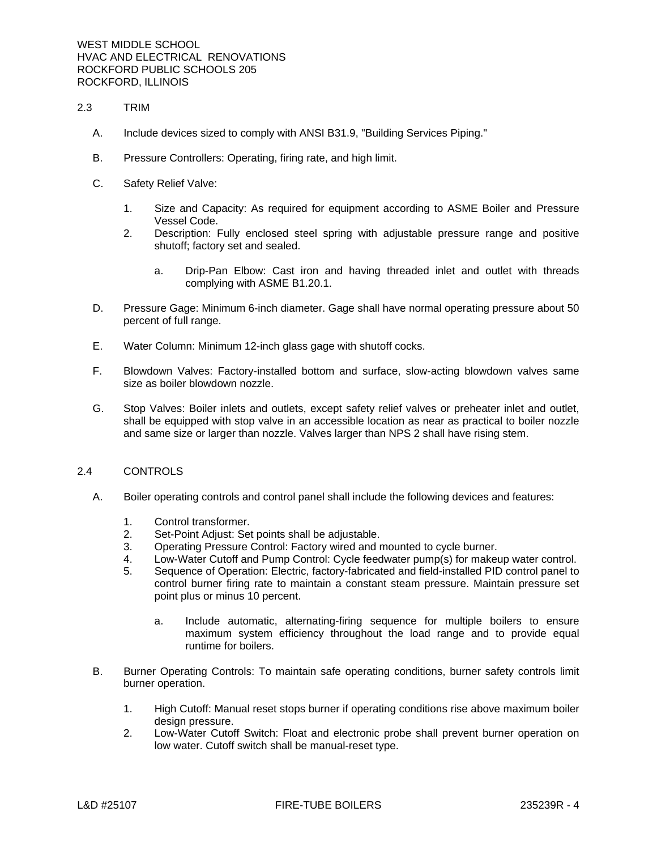- 2.3 TRIM
	- A. Include devices sized to comply with ANSI B31.9, "Building Services Piping."
	- B. Pressure Controllers: Operating, firing rate, and high limit.
	- C. Safety Relief Valve:
		- 1. Size and Capacity: As required for equipment according to ASME Boiler and Pressure Vessel Code.
		- 2. Description: Fully enclosed steel spring with adjustable pressure range and positive shutoff; factory set and sealed.
			- a. Drip-Pan Elbow: Cast iron and having threaded inlet and outlet with threads complying with ASME B1.20.1.
	- D. Pressure Gage: Minimum 6-inch diameter. Gage shall have normal operating pressure about 50 percent of full range.
	- E. Water Column: Minimum 12-inch glass gage with shutoff cocks.
	- F. Blowdown Valves: Factory-installed bottom and surface, slow-acting blowdown valves same size as boiler blowdown nozzle.
	- G. Stop Valves: Boiler inlets and outlets, except safety relief valves or preheater inlet and outlet, shall be equipped with stop valve in an accessible location as near as practical to boiler nozzle and same size or larger than nozzle. Valves larger than NPS 2 shall have rising stem.

#### 2.4 CONTROLS

- A. Boiler operating controls and control panel shall include the following devices and features:
	- 1. Control transformer.
	- 2. Set-Point Adjust: Set points shall be adjustable.
	- 3. Operating Pressure Control: Factory wired and mounted to cycle burner.
	- 4. Low-Water Cutoff and Pump Control: Cycle feedwater pump(s) for makeup water control.
	- 5. Sequence of Operation: Electric, factory-fabricated and field-installed PID control panel to control burner firing rate to maintain a constant steam pressure. Maintain pressure set point plus or minus 10 percent.
		- a. Include automatic, alternating-firing sequence for multiple boilers to ensure maximum system efficiency throughout the load range and to provide equal runtime for boilers.
- B. Burner Operating Controls: To maintain safe operating conditions, burner safety controls limit burner operation.
	- 1. High Cutoff: Manual reset stops burner if operating conditions rise above maximum boiler design pressure.
	- 2. Low-Water Cutoff Switch: Float and electronic probe shall prevent burner operation on low water. Cutoff switch shall be manual-reset type.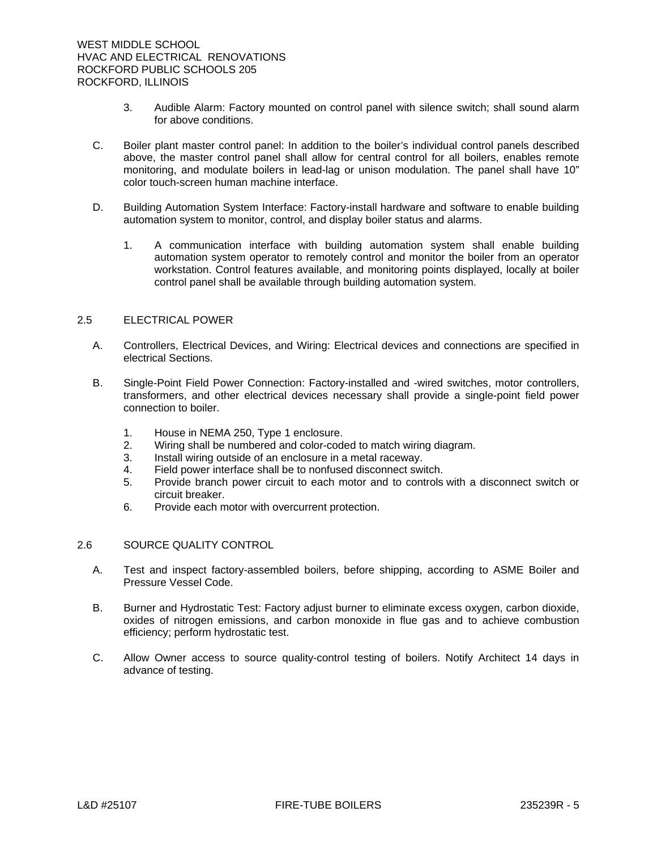- 3. Audible Alarm: Factory mounted on control panel with silence switch; shall sound alarm for above conditions.
- C. Boiler plant master control panel: In addition to the boiler's individual control panels described above, the master control panel shall allow for central control for all boilers, enables remote monitoring, and modulate boilers in lead-lag or unison modulation. The panel shall have 10" color touch-screen human machine interface.
- D. Building Automation System Interface: Factory-install hardware and software to enable building automation system to monitor, control, and display boiler status and alarms.
	- 1. A communication interface with building automation system shall enable building automation system operator to remotely control and monitor the boiler from an operator workstation. Control features available, and monitoring points displayed, locally at boiler control panel shall be available through building automation system.

# 2.5 ELECTRICAL POWER

- A. Controllers, Electrical Devices, and Wiring: Electrical devices and connections are specified in electrical Sections.
- B. Single-Point Field Power Connection: Factory-installed and -wired switches, motor controllers, transformers, and other electrical devices necessary shall provide a single-point field power connection to boiler.
	- 1. House in NEMA 250, Type 1 enclosure.
	- 2. Wiring shall be numbered and color-coded to match wiring diagram.
	- 3. Install wiring outside of an enclosure in a metal raceway.
	- 4. Field power interface shall be to nonfused disconnect switch.
	- 5. Provide branch power circuit to each motor and to controls with a disconnect switch or circuit breaker.
	- 6. Provide each motor with overcurrent protection.

#### 2.6 SOURCE QUALITY CONTROL

- A. Test and inspect factory-assembled boilers, before shipping, according to ASME Boiler and Pressure Vessel Code.
- B. Burner and Hydrostatic Test: Factory adjust burner to eliminate excess oxygen, carbon dioxide, oxides of nitrogen emissions, and carbon monoxide in flue gas and to achieve combustion efficiency; perform hydrostatic test.
- C. Allow Owner access to source quality-control testing of boilers. Notify Architect 14 days in advance of testing.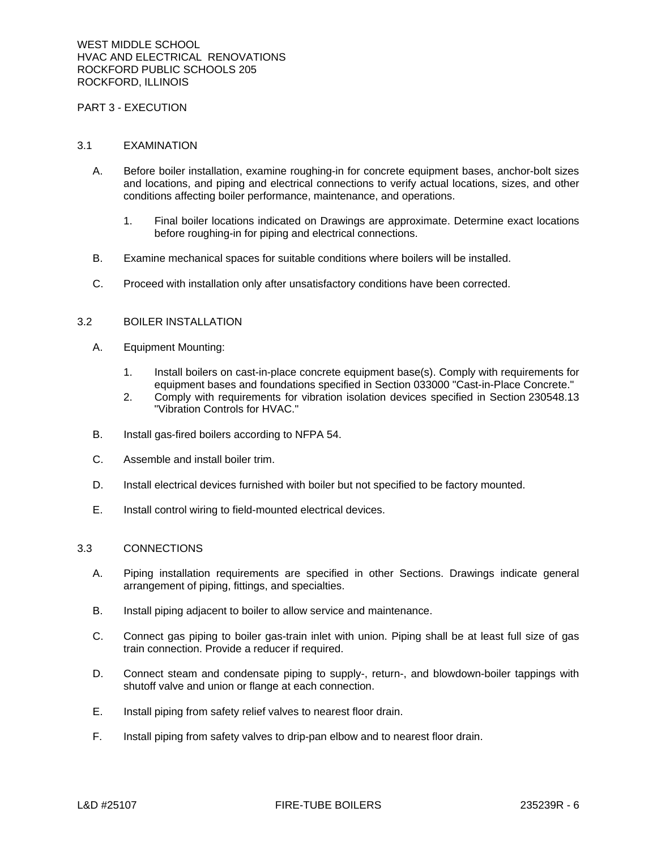#### PART 3 - EXECUTION

#### 3.1 EXAMINATION

- A. Before boiler installation, examine roughing-in for concrete equipment bases, anchor-bolt sizes and locations, and piping and electrical connections to verify actual locations, sizes, and other conditions affecting boiler performance, maintenance, and operations.
	- 1. Final boiler locations indicated on Drawings are approximate. Determine exact locations before roughing-in for piping and electrical connections.
- B. Examine mechanical spaces for suitable conditions where boilers will be installed.
- C. Proceed with installation only after unsatisfactory conditions have been corrected.

#### 3.2 BOILER INSTALLATION

- A. Equipment Mounting:
	- 1. Install boilers on cast-in-place concrete equipment base(s). Comply with requirements for equipment bases and foundations specified in Section 033000 "Cast-in-Place Concrete."
	- 2. Comply with requirements for vibration isolation devices specified in Section 230548.13 "Vibration Controls for HVAC."
- B. Install gas-fired boilers according to NFPA 54.
- C. Assemble and install boiler trim.
- D. Install electrical devices furnished with boiler but not specified to be factory mounted.
- E. Install control wiring to field-mounted electrical devices.

# 3.3 CONNECTIONS

- A. Piping installation requirements are specified in other Sections. Drawings indicate general arrangement of piping, fittings, and specialties.
- B. Install piping adjacent to boiler to allow service and maintenance.
- C. Connect gas piping to boiler gas-train inlet with union. Piping shall be at least full size of gas train connection. Provide a reducer if required.
- D. Connect steam and condensate piping to supply-, return-, and blowdown-boiler tappings with shutoff valve and union or flange at each connection.
- E. Install piping from safety relief valves to nearest floor drain.
- F. Install piping from safety valves to drip-pan elbow and to nearest floor drain.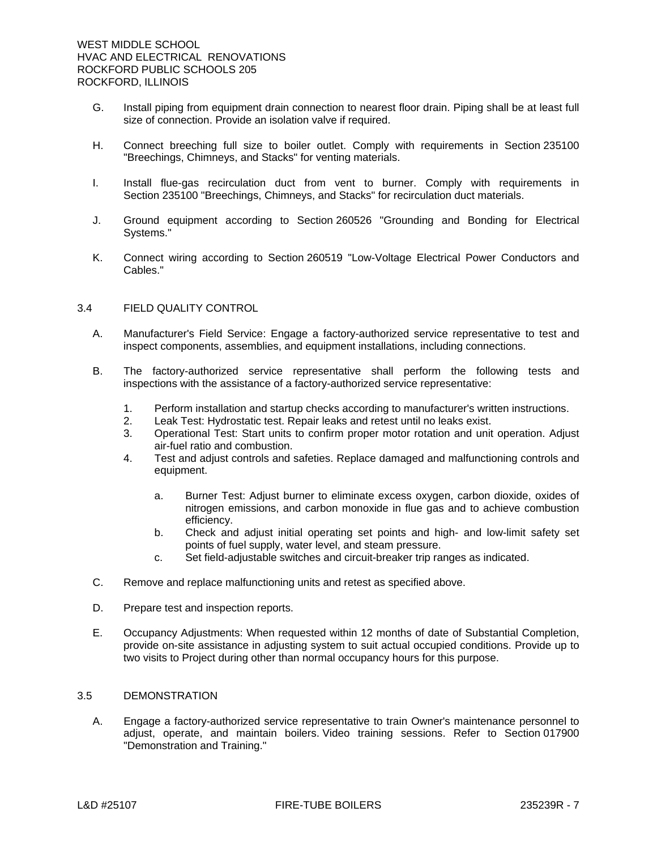- G. Install piping from equipment drain connection to nearest floor drain. Piping shall be at least full size of connection. Provide an isolation valve if required.
- H. Connect breeching full size to boiler outlet. Comply with requirements in Section 235100 "Breechings, Chimneys, and Stacks" for venting materials.
- I. Install flue-gas recirculation duct from vent to burner. Comply with requirements in Section 235100 "Breechings, Chimneys, and Stacks" for recirculation duct materials.
- J. Ground equipment according to Section 260526 "Grounding and Bonding for Electrical Systems."
- K. Connect wiring according to Section 260519 "Low-Voltage Electrical Power Conductors and Cables."

## 3.4 FIELD QUALITY CONTROL

- A. Manufacturer's Field Service: Engage a factory-authorized service representative to test and inspect components, assemblies, and equipment installations, including connections.
- B. The factory-authorized service representative shall perform the following tests and inspections with the assistance of a factory-authorized service representative:
	- 1. Perform installation and startup checks according to manufacturer's written instructions.
	- 2. Leak Test: Hydrostatic test. Repair leaks and retest until no leaks exist.
	- 3. Operational Test: Start units to confirm proper motor rotation and unit operation. Adjust air-fuel ratio and combustion.
	- 4. Test and adjust controls and safeties. Replace damaged and malfunctioning controls and equipment.
		- a. Burner Test: Adjust burner to eliminate excess oxygen, carbon dioxide, oxides of nitrogen emissions, and carbon monoxide in flue gas and to achieve combustion efficiency.
		- b. Check and adjust initial operating set points and high- and low-limit safety set points of fuel supply, water level, and steam pressure.
		- c. Set field-adjustable switches and circuit-breaker trip ranges as indicated.
- C. Remove and replace malfunctioning units and retest as specified above.
- D. Prepare test and inspection reports.
- E. Occupancy Adjustments: When requested within 12 months of date of Substantial Completion, provide on-site assistance in adjusting system to suit actual occupied conditions. Provide up to two visits to Project during other than normal occupancy hours for this purpose.

# 3.5 DEMONSTRATION

A. Engage a factory-authorized service representative to train Owner's maintenance personnel to adjust, operate, and maintain boilers. Video training sessions. Refer to Section 017900 "Demonstration and Training."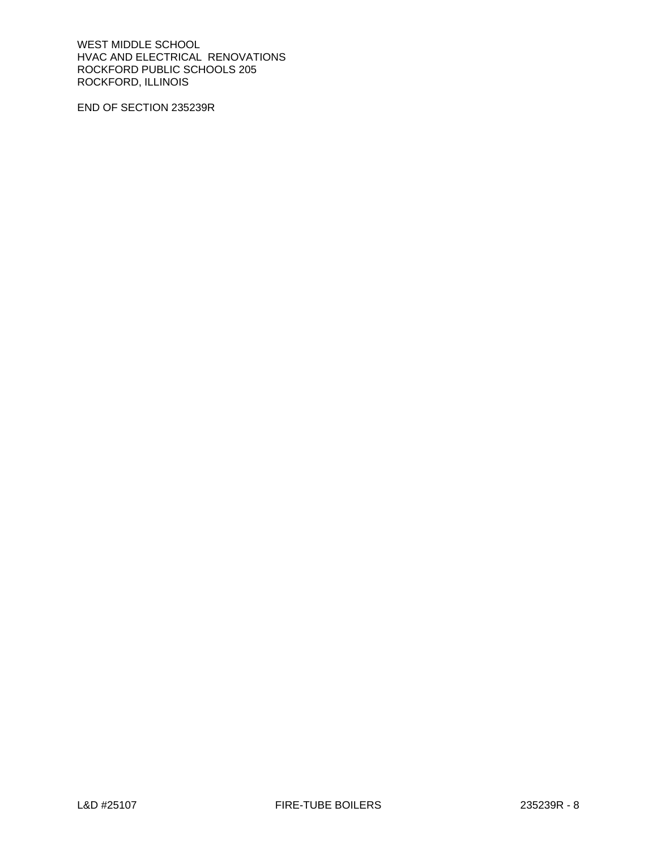WEST MIDDLE SCHOOL HVAC AND ELECTRICAL RENOVATIONS ROCKFORD PUBLIC SCHOOLS 205 ROCKFORD, ILLINOIS

END OF SECTION 235239R